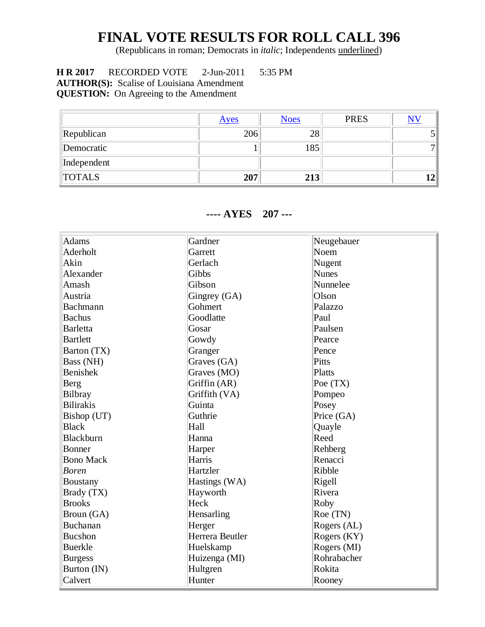## **FINAL VOTE RESULTS FOR ROLL CALL 396**

(Republicans in roman; Democrats in *italic*; Independents underlined)

 **H R 2017** RECORDED VOTE 2-Jun-2011 5:35 PM **AUTHOR(S):** Scalise of Louisiana Amendment **QUESTION:** On Agreeing to the Amendment

[Ayes](http://clerk.house.gov/evs/2011/roll396.xml#Y) [Noes](http://clerk.house.gov/evs/2011/roll396.xml#N) RES [NV](http://clerk.house.gov/evs/2011/roll396.xml#NV) Republican 206 28 5 Democratic  $1 \t 1 \t 185$  7 Independent TOTALS **207 213 12**

## **---- AYES 207 ---**

| <b>Adams</b>     | Gardner         | Neugebauer   |
|------------------|-----------------|--------------|
| Aderholt         | Garrett         | Noem         |
| Akin             | Gerlach         | Nugent       |
| Alexander        | Gibbs           | <b>Nunes</b> |
| Amash            | Gibson          | Nunnelee     |
| Austria          | Gingrey (GA)    | Olson        |
| Bachmann         | Gohmert         | Palazzo      |
| <b>Bachus</b>    | Goodlatte       | Paul         |
| <b>Barletta</b>  | Gosar           | Paulsen      |
| <b>Bartlett</b>  | Gowdy           | Pearce       |
| Barton (TX)      | Granger         | Pence        |
| Bass (NH)        | Graves (GA)     | Pitts        |
| <b>Benishek</b>  | Graves (MO)     | Platts       |
| Berg             | Griffin (AR)    | Poe (TX)     |
| <b>Bilbray</b>   | Griffith (VA)   | Pompeo       |
| <b>Bilirakis</b> | Guinta          | Posey        |
| Bishop (UT)      | Guthrie         | Price (GA)   |
| <b>Black</b>     | Hall            | Quayle       |
| Blackburn        | Hanna           | Reed         |
| Bonner           | Harper          | Rehberg      |
| <b>Bono Mack</b> | Harris          | Renacci      |
| <b>Boren</b>     | Hartzler        | Ribble       |
| <b>Boustany</b>  | Hastings (WA)   | Rigell       |
| Brady (TX)       | Hayworth        | Rivera       |
| <b>Brooks</b>    | Heck            | Roby         |
| Broun (GA)       | Hensarling      | Roe (TN)     |
| Buchanan         | Herger          | Rogers (AL)  |
| <b>Bucshon</b>   | Herrera Beutler | Rogers (KY)  |
| <b>Buerkle</b>   | Huelskamp       | Rogers (MI)  |
| <b>Burgess</b>   | Huizenga (MI)   | Rohrabacher  |
| Burton (IN)      | Hultgren        | Rokita       |
| Calvert          | Hunter          | Rooney       |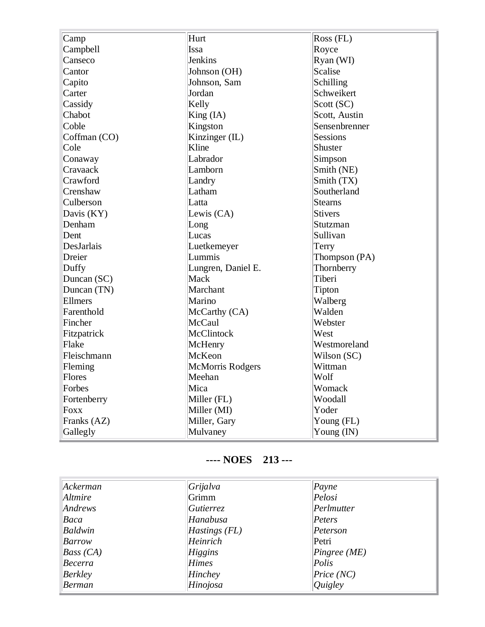| Camp           | Hurt               | Ross (FL)     |
|----------------|--------------------|---------------|
| Campbell       | Issa               | Royce         |
| Canseco        | Jenkins            | Ryan (WI)     |
| Cantor         | Johnson (OH)       | Scalise       |
| Capito         | Johnson, Sam       | Schilling     |
| Carter         | Jordan             | Schweikert    |
| Cassidy        | Kelly              | Scott (SC)    |
| Chabot         | King (IA)          | Scott, Austin |
| Coble          | Kingston           | Sensenbrenner |
| Coffman (CO)   | Kinzinger (IL)     | Sessions      |
| Cole           | Kline              | Shuster       |
| Conaway        | Labrador           | Simpson       |
| Cravaack       | Lamborn            | Smith (NE)    |
| Crawford       | Landry             | Smith (TX)    |
| Crenshaw       | Latham             | Southerland   |
| Culberson      | Latta              | Stearns       |
| Davis (KY)     | Lewis (CA)         | Stivers       |
| Denham         | Long               | Stutzman      |
| Dent           | Lucas              | Sullivan      |
| DesJarlais     | Luetkemeyer        | Terry         |
| Dreier         | Lummis             | Thompson (PA) |
| Duffy          | Lungren, Daniel E. | Thornberry    |
| Duncan (SC)    | Mack               | Tiberi        |
| Duncan (TN)    | Marchant           | Tipton        |
| <b>Ellmers</b> | Marino             | Walberg       |
| Farenthold     | McCarthy (CA)      | Walden        |
| Fincher        | McCaul             | Webster       |
| Fitzpatrick    | McClintock         | West          |
| Flake          | McHenry            | Westmoreland  |
| Fleischmann    | McKeon             | Wilson (SC)   |
| Fleming        | McMorris Rodgers   | Wittman       |
| Flores         | Meehan             | Wolf          |
| Forbes         | Mica               | Womack        |
| Fortenberry    | Miller (FL)        | Woodall       |
| <b>Foxx</b>    | Miller (MI)        | Yoder         |
| Franks (AZ)    | Miller, Gary       | Young (FL)    |
| Gallegly       | Mulvaney           | Young (IN)    |

## **---- NOES 213 ---**

| Ackerman  | Grijalva        | P <sub>ayne</sub> |
|-----------|-----------------|-------------------|
| Altmire   | Grimm           | Pelosi            |
| Andrews   | Gutierrez       | Perlmutter        |
| Baca      | Hanabusa        | Peters            |
| Baldwin   | $Hastings$ (FL) | Peterson          |
| Barrow    | Heinrich        | Petri             |
| Bass (CA) | Higgins         | Pingree(ME)       |
| Becerra   | <b>Himes</b>    | Polis             |
| Berkley   | Hinchey         | Price (NC)        |
| Berman    | Hinojosa        | Quigley           |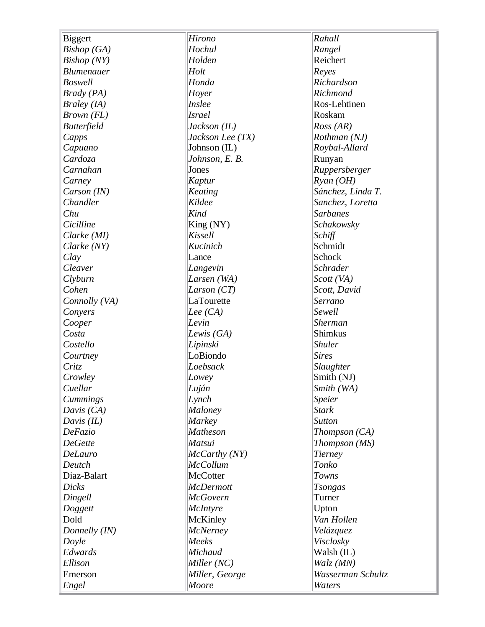| Biggert            | Hirono           | Rahall            |
|--------------------|------------------|-------------------|
| Bishop (GA)        | Hochul           | Rangel            |
| <b>Bishop</b> (NY) | Holden           | Reichert          |
| <b>Blumenauer</b>  | Holt             | Reyes             |
| <b>Boswell</b>     | Honda            | Richardson        |
| $Brady$ (PA)       | Hoyer            | Richmond          |
| Braley (IA)        | Inslee           | Ros-Lehtinen      |
| Brown (FL)         | <b>Israel</b>    | Roskam            |
| <b>Butterfield</b> | Jackson (IL)     | Ross (AR)         |
|                    | Jackson Lee (TX) | Rothman (NJ)      |
| Capps              |                  |                   |
| Capuano            | Johnson (IL)     | Roybal-Allard     |
| Cardoza            | Johnson, E. B.   | Runyan            |
| Carnahan           | Jones            | Ruppersberger     |
| Carney             | Kaptur           | $R$ yan (OH)      |
| Carson (IN)        | Keating          | Sánchez, Linda T. |
| Chandler           | Kildee           | Sanchez, Loretta  |
| Chu                | Kind             | <b>Sarbanes</b>   |
| Cicilline          | King (NY)        | Schakowsky        |
| Clarke (MI)        | Kissell          | Schiff            |
| Clarke (NY)        | Kucinich         | Schmidt           |
| Clay               | Lance            | Schock            |
| Cleaver            | Langevin         | <b>Schrader</b>   |
| Clyburn            | Larsen (WA)      | Scott (VA)        |
| Cohen              | Larson $(T)$     | Scott, David      |
| Connolly (VA)      | LaTourette       | Serrano           |
| Convers            | Lee $(CA)$       | Sewell            |
| Cooper             | Levin            | <b>Sherman</b>    |
| Costa              | Lewis $(GA)$     | <b>Shimkus</b>    |
| Costello           | Lipinski         | <b>Shuler</b>     |
| Courtney           | LoBiondo         | <b>Sires</b>      |
| Critz              | Loebsack         | Slaughter         |
| Crowley            | Lowey            | Smith (NJ)        |
| Cuellar            | Luján            | Smith (WA)        |
| Cummings           | Lynch            | Speier            |
| Davis $(CA)$       | Maloney          | <b>Stark</b>      |
| Davis $(IL)$       | Markey           | <b>Sutton</b>     |
| DeFazio            | <b>Matheson</b>  | Thompson (CA)     |
| <b>DeGette</b>     | Matsui           | Thompson (MS)     |
| <b>DeLauro</b>     | McCarthy (NY)    | Tierney           |
| Deutch             | <b>McCollum</b>  | Tonko             |
| Diaz-Balart        | <b>McCotter</b>  | Towns             |
| <b>Dicks</b>       | <b>McDermott</b> | <b>Tsongas</b>    |
| Dingell            | <b>McGovern</b>  | Turner            |
| Doggett            | McIntyre         | Upton             |
| Dold               | McKinley         | Van Hollen        |
| Donnelly (IN)      | <b>McNerney</b>  | Velázquez         |
|                    | Meeks            |                   |
| Doyle              |                  | Visclosky         |
| Edwards            | Michaud          | Walsh (IL)        |
| Ellison            | Miller(NC)       | Walz (MN)         |
| Emerson            | Miller, George   | Wasserman Schultz |
| Engel              | Moore            | Waters            |